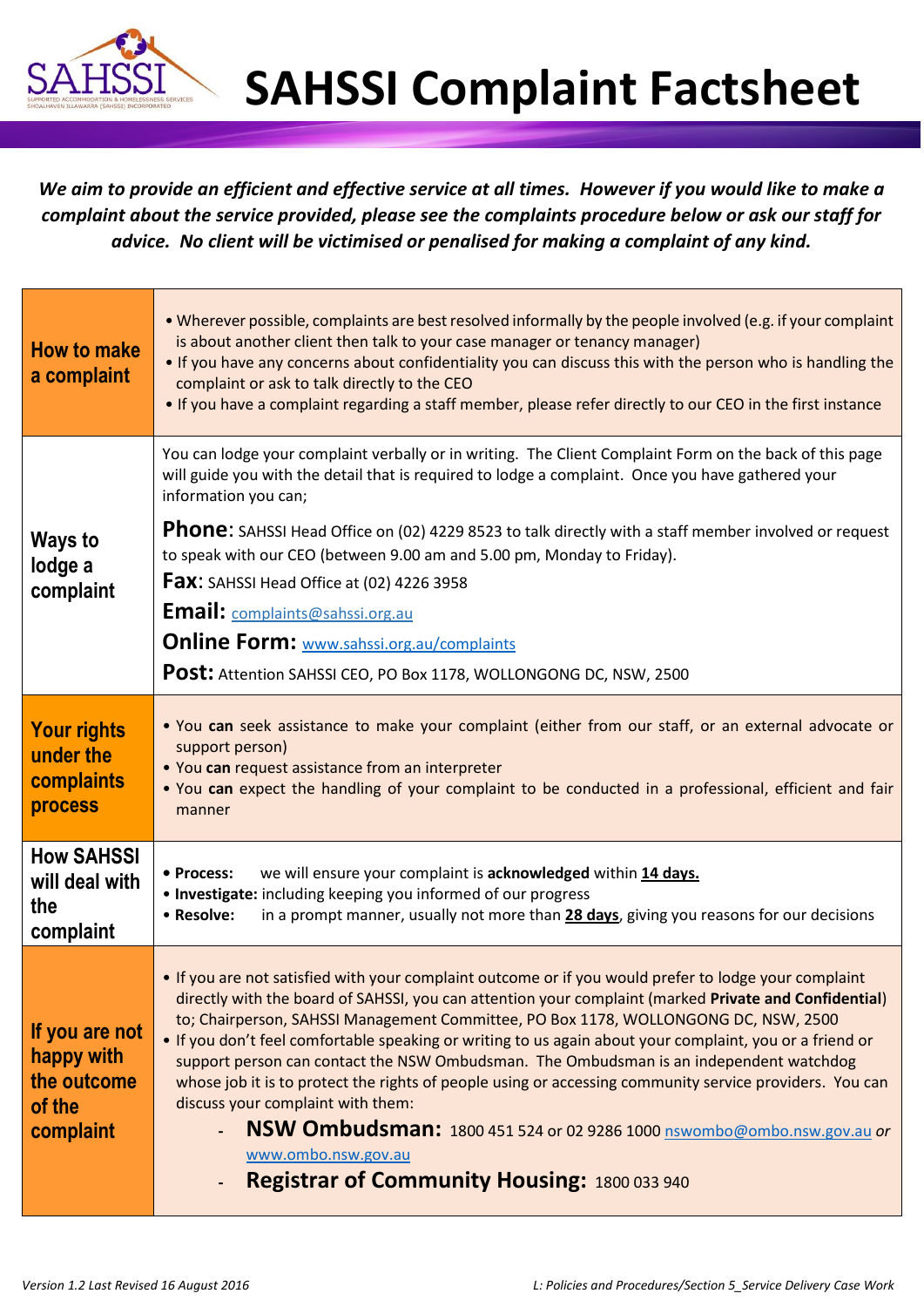

*We aim to provide an efficient and effective service at all times. However if you would like to make a complaint about the service provided, please see the complaints procedure below or ask our staff for advice. No client will be victimised or penalised for making a complaint of any kind.*

| <b>How to make</b><br>a complaint                                  | . Wherever possible, complaints are best resolved informally by the people involved (e.g. if your complaint<br>is about another client then talk to your case manager or tenancy manager)<br>. If you have any concerns about confidentiality you can discuss this with the person who is handling the<br>complaint or ask to talk directly to the CEO<br>• If you have a complaint regarding a staff member, please refer directly to our CEO in the first instance                                                                                                                                                                                                                                                                                                                                         |
|--------------------------------------------------------------------|--------------------------------------------------------------------------------------------------------------------------------------------------------------------------------------------------------------------------------------------------------------------------------------------------------------------------------------------------------------------------------------------------------------------------------------------------------------------------------------------------------------------------------------------------------------------------------------------------------------------------------------------------------------------------------------------------------------------------------------------------------------------------------------------------------------|
| <b>Ways to</b><br>lodge a<br>complaint                             | You can lodge your complaint verbally or in writing. The Client Complaint Form on the back of this page<br>will guide you with the detail that is required to lodge a complaint. Once you have gathered your<br>information you can;                                                                                                                                                                                                                                                                                                                                                                                                                                                                                                                                                                         |
|                                                                    | Phone: SAHSSI Head Office on (02) 4229 8523 to talk directly with a staff member involved or request<br>to speak with our CEO (between 9.00 am and 5.00 pm, Monday to Friday).<br><b>Fax:</b> SAHSSI Head Office at (02) 4226 3958<br>Email: complaints@sahssi.org.au<br><b>Online Form: www.sahssi.org.au/complaints</b><br>Post: Attention SAHSSI CEO, PO Box 1178, WOLLONGONG DC, NSW, 2500                                                                                                                                                                                                                                                                                                                                                                                                               |
| <b>Your rights</b><br>under the<br>complaints<br><b>process</b>    | . You can seek assistance to make your complaint (either from our staff, or an external advocate or<br>support person)<br>. You can request assistance from an interpreter<br>. You can expect the handling of your complaint to be conducted in a professional, efficient and fair<br>manner                                                                                                                                                                                                                                                                                                                                                                                                                                                                                                                |
| <b>How SAHSSI</b><br>will deal with<br>the<br>complaint            | we will ensure your complaint is acknowledged within 14 days.<br>• Process:<br>• Investigate: including keeping you informed of our progress<br>• Resolve:<br>in a prompt manner, usually not more than 28 days, giving you reasons for our decisions                                                                                                                                                                                                                                                                                                                                                                                                                                                                                                                                                        |
| If you are not<br>happy with<br>the outcome<br>of the<br>complaint | . If you are not satisfied with your complaint outcome or if you would prefer to lodge your complaint<br>directly with the board of SAHSSI, you can attention your complaint (marked Private and Confidential)<br>to; Chairperson, SAHSSI Management Committee, PO Box 1178, WOLLONGONG DC, NSW, 2500<br>. If you don't feel comfortable speaking or writing to us again about your complaint, you or a friend or<br>support person can contact the NSW Ombudsman. The Ombudsman is an independent watchdog<br>whose job it is to protect the rights of people using or accessing community service providers. You can<br>discuss your complaint with them:<br>NSW Ombudsman: 1800 451 524 or 02 9286 1000 nswombo@ombo.nsw.gov.au or<br>www.ombo.nsw.gov.au<br>Registrar of Community Housing: 1800 033 940 |